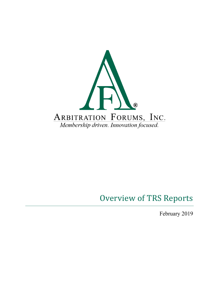

# Overview of TRS Reports

February 2019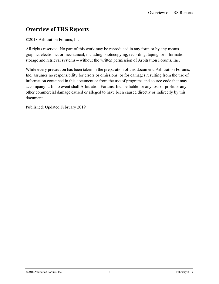#### **Overview of TRS Reports**

©2018 Arbitration Forums, Inc.

All rights reserved. No part of this work may be reproduced in any form or by any means – graphic, electronic, or mechanical, including photocopying, recording, taping, or information storage and retrieval systems – without the written permission of Arbitration Forums, Inc.

While every precaution has been taken in the preparation of this document, Arbitration Forums, Inc. assumes no responsibility for errors or omissions, or for damages resulting from the use of information contained in this document or from the use of programs and source code that may accompany it. In no event shall Arbitration Forums, Inc. be liable for any loss of profit or any other commercial damage caused or alleged to have been caused directly or indirectly by this document.

Published: Updated February 2019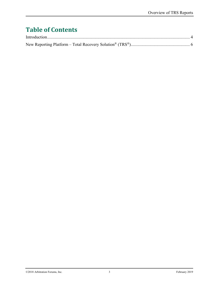## **Table of Contents**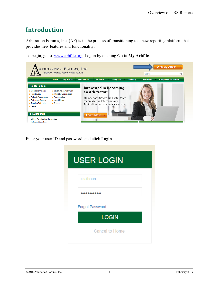### <span id="page-3-0"></span>**Introduction**

Arbitration Forums, Inc. (AF) is in the process of transitioning to a new reporting platform that provides new features and functionality.

To begin, go to [www.arbfile.org.](http://www.arbfile.org/) Log in by clicking **Go to My Arbfile**.



Enter your user ID and password, and click **Login**.

| <b>USER LOGIN</b>      |  |
|------------------------|--|
| ccalhoun               |  |
|                        |  |
| <b>Forgot Password</b> |  |
| <b>LOGIN</b>           |  |
| <b>Cancel to Home</b>  |  |
|                        |  |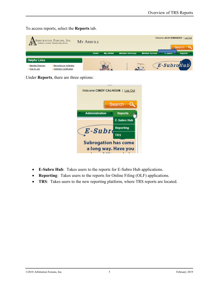To access reports, select the **Reports** tab.

| ARBITRATION FORUMS, INC.<br>Industry created. Membership driven. |                                                           |  | <b>MY ARBFILE</b> |                   |                         |                      | Welcome JACK DEMANDER | Log Out<br>Search |
|------------------------------------------------------------------|-----------------------------------------------------------|--|-------------------|-------------------|-------------------------|----------------------|-----------------------|-------------------|
|                                                                  |                                                           |  | Home              | <b>My Arbfile</b> | <b>Member Directory</b> | <b>Member Access</b> | <b>C-SUDFO</b>        | <b>Reports</b>    |
| <b>Helpful Links</b>                                             |                                                           |  |                   |                   |                         |                      |                       |                   |
| Member Directory<br>▶ How to Join                                | Becoming an Arbitrator<br><b>Arbitrator Certification</b> |  |                   |                   | <b>Channel</b>          |                      | E-SubroHub            |                   |

Under **Reports**, there are three options:

| Welcome CINDY CALHOUN   Log Out |                    |  |  |  |  |  |  |
|---------------------------------|--------------------|--|--|--|--|--|--|
| Search                          |                    |  |  |  |  |  |  |
| <b>Administration</b>           | <b>Reports</b>     |  |  |  |  |  |  |
|                                 | <b>E-Subro Hub</b> |  |  |  |  |  |  |
| E-Subre                         | <b>Reporting</b>   |  |  |  |  |  |  |
|                                 | <b>TRS</b>         |  |  |  |  |  |  |
| <b>Subrogation has come</b>     |                    |  |  |  |  |  |  |
| a long way. Have you            |                    |  |  |  |  |  |  |

- **E-Subro Hub**: Takes users to the reports for E-Subro Hub applications.
- **Reporting**: Takes users to the reports for Online Filing (OLF) applications.
- **TRS**: Takes users to the new reporting platform, where TRS reports are located.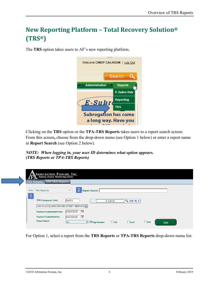### <span id="page-5-0"></span>**New Reporting Platform – Total Recovery Solution® (TRS®)**

The **TRS** option takes users to AF's new reporting platform.



Clicking on the **TRS** option or the **TPA-TRS Reports** takes users to a report search screen. From this screen**,** choose from the drop-down menu (see Option 1 below) or enter a report name in **Report Search** (see Option 2 below).

*NOTE: When logging in, your user ID determines what option appears. (TRS Reports or TPA-TRS Reports)* 

| <b>ARBITRATION FORUMS, INC.</b><br>Industry created. Membership driven. |                                                         |            |                            |            |             |  |  |
|-------------------------------------------------------------------------|---------------------------------------------------------|------------|----------------------------|------------|-------------|--|--|
| <b>TRS Reports TPA-TRS Reports</b>                                      |                                                         |            |                            |            |             |  |  |
| TPA - TRS Reports                                                       | $\overline{2}$<br><b>Report Search:</b><br>$\checkmark$ |            |                            |            |             |  |  |
| <b>TPA Company Code:</b>                                                | 04513                                                   | 1-1 of 13  | $Q \rightarrow H \oplus F$ |            |             |  |  |
| 04513-ACCELERATED RECOVERY SERVICE                                      |                                                         |            |                            |            |             |  |  |
| <b>Feature Submitted from:</b>                                          | ਿ<br>01/01/2019                                         |            |                            |            |             |  |  |
| <b>Feature Submitted to:</b>                                            | ᄫ<br>01/23/2019                                         |            |                            |            |             |  |  |
| <b>State Select:</b>                                                    | ■ Page Browser<br><b>ALL</b><br>▼                       | $\Box$ CSV | $\Box$ Excel               | $\Box$ PDF | <b>View</b> |  |  |

For Option 1, select a report from the **TRS Reports** or **TPA-TRS Reports** drop-down menu list.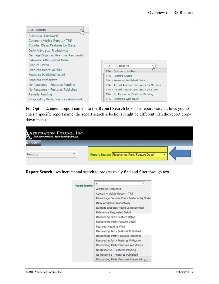

For Option 2, enter a report name into the **Report Search** box. The report search allows you to enter a specific report name; the report search selections might be different than the report dropdown menu.

| <b>ARBITRATION FORUMS, INC.</b><br>Industry created Membership driven. |                                                |
|------------------------------------------------------------------------|------------------------------------------------|
| <b>Reports</b>                                                         |                                                |
| $\checkmark$<br>Reports                                                | Report Search: Recovering Party Feature Detail |

**Report Search** uses incremental search to progressively find and filter through text.

| <b>Report Search:</b> | $\mathbf{a}$<br>×                          |
|-----------------------|--------------------------------------------|
|                       | <b>Arbitrator Scorecard</b>                |
|                       | Company Visible Report - TRS               |
|                       | Percentage Counter Claim Features by State |
|                       | Daily Arbitrator Productivity              |
|                       | Damage Disputes Heard vs Responded         |
|                       | <b>Extensions Requested Detail</b>         |
|                       | Recovering Party Feature Detail            |
|                       | Responding Party Feature Detail            |
|                       | <b>Features Heard vs Filed</b>             |
|                       | Recovering Party Features Published        |
|                       | Responding Party Features Published        |
|                       | Recovering Party Features Withdrawn        |
|                       | Responding Party Features Withdrawn        |
|                       | No Response - Features Pending             |
|                       | No Response - Features Published           |
|                       | Responding Party Features Answered         |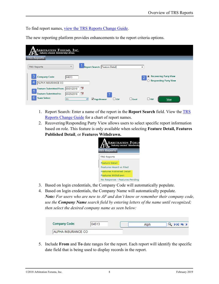To find report names, view the [TRS Reports Change Guide.](https://home.arbfile.org/ArbitrationForums/media/resources/trs/TRS-ReportsChangeGuide-June2018.pdf)

The new reporting platform provides enhancements to the report criteria options.

| <b>ARBITRATION FORUMS, INC.</b><br>Industry created. Membership driven.                                           |                                                                                        |                                                         |  |  |  |  |  |
|-------------------------------------------------------------------------------------------------------------------|----------------------------------------------------------------------------------------|---------------------------------------------------------|--|--|--|--|--|
| <b>TRS Reports</b>                                                                                                |                                                                                        |                                                         |  |  |  |  |  |
| <b>TRS Reports</b>                                                                                                | Report Search: Feature Detail<br>$\checkmark$                                          | ×                                                       |  |  |  |  |  |
| 3<br><b>Company Code:</b><br>ALPHA INSURANCE CO                                                                   | 04513                                                                                  | ◉ Recovering Party View<br><b>Responding Party View</b> |  |  |  |  |  |
| Feature Submitted from: 05/01/2018<br>$5\phantom{1}$<br><b>Feature Submitted to:</b><br>6<br><b>State Select:</b> | ᄫ<br>ੋਂ<br>05/29/2018<br>Page Browser<br>$\Box$ CSV<br><b>ALL</b><br>$\Box$ Excel<br>▼ | $\Box$ PDF<br><b>View</b>                               |  |  |  |  |  |
|                                                                                                                   |                                                                                        |                                                         |  |  |  |  |  |

- 1. Report Search: Enter a name of the report in the **Report Search** field. View the [TRS](https://home.arbfile.org/ArbitrationForums/media/resources/trs/TRS-ReportsChangeGuide-June2018.pdf)  [Reports Change Guide](https://home.arbfile.org/ArbitrationForums/media/resources/trs/TRS-ReportsChangeGuide-June2018.pdf) for a chart of report names.
- 2. Recovering/Responding Party View allows users to select specific report information based on role. This feature is only available when selecting **Feature Detail, Features Published Detail**, or **Features Withdrawn.**



- 3. Based on login credentials, the Company Code will automatically populate.
- 4. Based on login credentials, the Company Name will automatically populate. *Note: For users who are new to AF and don't know or remember their company code, use the Company Name search field by entering letters of the name until recognized; then select the desired company name as seen below:*

| <b>Company Code:</b> | 04513 | Alph | $H = 5$ |
|----------------------|-------|------|---------|
| ALPHA INSURANCE CO   |       |      |         |

5. Include **From** and **To** date ranges for the report. Each report will identify the specific date field that is being used to display records in the report.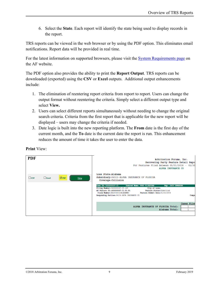6. Select the **State**. Each report will identify the state being used to display records in the report.

TRS reports can be viewed in the web browser or by using the PDF option. This eliminates email notifications. Report data will be provided in real time.

For the latest information on supported browsers, please visit the **System Requirements page** on the AF website.

The PDF option also provides the ability to print the **Report Output**. TRS reports can be downloaded (exported) using the **CSV** or **Excel** outputs. Additional output enhancements include:

- 1. The elimination of reentering report criteria from report to report. Users can change the output format without reentering the criteria. Simply select a different output type and select **View.**
- 2. Users can select different reports simultaneously without needing to change the original search criteria. Criteria from the first report that is applicable for the new report will be displayed – users may change the criteria if needed.
- 3. Date logic is built into the new reporting platform. The **From** date is the first day of the current month, and the **To** date is the current date the report is run. This enhancement reduces the amount of time it takes the user to enter the data.

**PDF**Arbitration Forums. Inc. Recovering Party Feature Detail Repo For Features Filed Between 05/01/2018 - 05/3 ALPHA INSURANCE CO Loss State: Alabama Subsidiary: 04513-ALPHA INSURANCE OF FLORIDA  $\square$ csv  $\Box$  <br> Excel  $\overline{\mathbf{M}}$  PDF View Coverage:Collision Case ID: 1800000597-C1 **FRED FLINSTONE** Ins City of Loss: Piling Number: 1800000597-C1-LD1 AP Peature ID:1800000597-C1-P1-P1 Feature Status: Submitted Claim Number: BB20180523ALABAMA1 Feature Submit Date: 05/23/2018 Responding Parties:04514-BETA INSURANCE CO Com ases Fil ALPHA INSURANCE OF FLORIDA Total: Alabama Total:

**Print** View: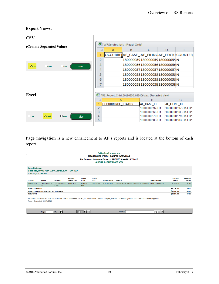#### **Export** Views:

| <b>CSV</b>              |              |            |                                 |                |                                                          |                              |                              |              |                                          |
|-------------------------|--------------|------------|---------------------------------|----------------|----------------------------------------------------------|------------------------------|------------------------------|--------------|------------------------------------------|
| (Comma Separated Value) |              |            | 四<br>WFServlet.ibfs [Read-Only] |                |                                                          |                              |                              |              |                                          |
|                         |              |            |                                 |                | А                                                        | в                            | C                            | D            | F                                        |
|                         |              |            |                                 | 1              |                                                          |                              |                              |              | OCCURRELAF_CASE_AF_FILINGAF_FEATUCOUNTER |
|                         |              |            |                                 | 2              |                                                          |                              | 180000059180000059180000059N |              |                                          |
| $\nabla$ <sub>CSV</sub> | $\Box$ Excel | $\Box$ PDF | <b>View</b>                     | 3              |                                                          |                              | 180000056180000056180000056N |              |                                          |
|                         |              |            |                                 | 4              |                                                          |                              | 180000057180000057180000057N |              |                                          |
|                         |              |            |                                 | 5              |                                                          |                              | 180000058180000058180000058N |              |                                          |
|                         |              |            | 6                               |                |                                                          | 180000058180000058180000058N |                              |              |                                          |
|                         |              |            | 7                               |                |                                                          | 18000005E18000005E18000005EN |                              |              |                                          |
|                         |              |            |                                 |                |                                                          |                              |                              |              |                                          |
| Excel                   |              |            |                                 |                | 뗻 TRS_Report_Cntrl_20180530_035406.xlsx [Protected View] |                              |                              |              |                                          |
|                         |              |            |                                 |                |                                                          |                              | B                            |              | C                                        |
|                         |              |            |                                 |                | <b>OCCURRENCE_STATUS</b>                                 |                              | AF CASE ID                   | AF FILING ID |                                          |
|                         |              |            |                                 | $\overline{2}$ |                                                          |                              | 1800000597-C1                |              | 1800000597-C1-LD1                        |
|                         |              |            |                                 | 3              |                                                          |                              | 180000056F-C1                |              | 180000056F-C1-LD1                        |
| $\square$ csv           | $\n  EXEC$   | $\Box$ PDF | <b>View</b>                     | 4              |                                                          |                              | 1800000579-C1                |              | 1800000579-C1-LD1                        |
|                         |              |            |                                 | 5              |                                                          |                              | 1800000583-C1                |              | 1800000583-C1-LD1                        |
|                         |              |            |                                 |                |                                                          |                              |                              |              |                                          |

Page navigation is a new enhancement to AF's reports and is located at the bottom of each report.

|                                                                                                                                                                                           | <b>Arbitration Forums, Inc.</b><br><b>Responding Party Features Answered</b><br>For Features Answered Between 12/01/2018 and 02/07/2019<br><b>ALPHA INSURANCE CO</b> |                                      |                               |                    |                  |                      |                                        |                        |                                  |                   |
|-------------------------------------------------------------------------------------------------------------------------------------------------------------------------------------------|----------------------------------------------------------------------------------------------------------------------------------------------------------------------|--------------------------------------|-------------------------------|--------------------|------------------|----------------------|----------------------------------------|------------------------|----------------------------------|-------------------|
|                                                                                                                                                                                           | Loss State: AL<br>Subsidiary: 0002-ALPHA INSURANCE OF FLORIDA<br><b>Coverage: Collision</b>                                                                          |                                      |                               |                    |                  |                      |                                        |                        |                                  |                   |
| Case ID:                                                                                                                                                                                  | Filing #                                                                                                                                                             | Feature ID:                          | Feature<br><b>Submit Date</b> | Feature<br>Status: | Date of<br>Loss: | <b>Insured Name:</b> | Claim #                                | <b>Representative:</b> | <b>Damages</b><br><b>Sought:</b> | Company<br>Award: |
| 19000008F3-<br>C <sub>1</sub>                                                                                                                                                             | 19000008F3-C1-<br>D <sub>1</sub>                                                                                                                                     | 19000008F3-C1- 01/08/2019<br>$P2-F1$ |                               | Ready to<br>Hear   | 01/05/2019       | <b>MOLLY JOLLY</b>   | <b>TESTWDFEATUREAFTERRESPONSEALPHA</b> | <b>JACK DEMANDER</b>   | \$1,220.00                       | \$0.00            |
| <b>Total for Collision</b>                                                                                                                                                                |                                                                                                                                                                      |                                      |                               |                    |                  |                      |                                        |                        | \$1,220.00                       | \$0.00            |
|                                                                                                                                                                                           | <b>Total for ALPHA INSURANCE OF FLORIDA</b>                                                                                                                          |                                      |                               |                    |                  |                      |                                        |                        | \$1,220.00                       | \$0.00            |
| <b>Total for AL</b>                                                                                                                                                                       |                                                                                                                                                                      |                                      |                               |                    |                  |                      |                                        |                        | \$1,220.00                       | \$0.00            |
| MEMBER CONFIDENTIAL: May not be shared outside Arbitration Forums, Inc. or intended Member Company without Senior Management AND Member Company approval.<br>Report Generated: 02/07/2019 |                                                                                                                                                                      |                                      |                               |                    |                  |                      |                                        |                        |                                  |                   |
|                                                                                                                                                                                           | Page                                                                                                                                                                 | $\bullet$<br>of 2                    |                               | IЫ                 |                  |                      | <b>Search</b>                          | <b>的</b> A-a →         |                                  |                   |